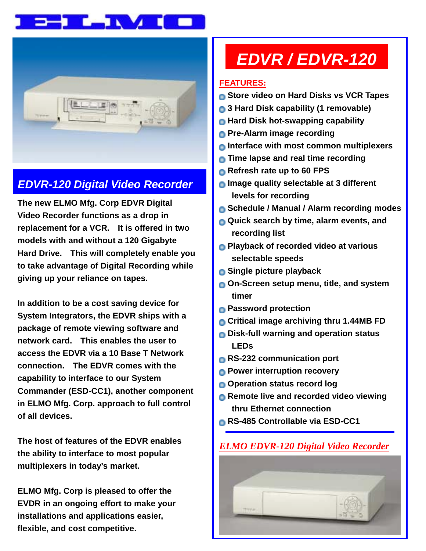



### *EDVR-120 Digital Video Recorder*

**The new ELMO Mfg. Corp EDVR Digital Video Recorder functions as a drop in replacement for a VCR. It is offered in two models with and without a 120 Gigabyte Hard Drive. This will completely enable you to take advantage of Digital Recording while giving up your reliance on tapes.** 

**In addition to be a cost saving device for System Integrators, the EDVR ships with a package of remote viewing software and network card. This enables the user to access the EDVR via a 10 Base T Network connection. The EDVR comes with the capability to interface to our System Commander (ESD-CC1), another component in ELMO Mfg. Corp. approach to full control of all devices.** 

**The host of features of the EDVR enables the ability to interface to most popular multiplexers in today's market.** 

**ELMO Mfg. Corp is pleased to offer the EVDR in an ongoing effort to make your installations and applications easier, flexible, and cost competitive.** 

# *EDVR / EDVR-120*

#### **FEATURES:**

- **Store video on Hard Disks vs VCR Tapes**
- **3 Hard Disk capability (1 removable)**
- **Hard Disk hot-swapping capability**
- **Pre-Alarm image recording**
- **Interface with most common multiplexers**
- **Time lapse and real time recording**
- **Refresh rate up to 60 FPS**
- **Image quality selectable at 3 different levels for recording**
- **Schedule / Manual / Alarm recording modes**
- **Quick search by time, alarm events, and recording list**
- **Playback of recorded video at various selectable speeds**
- **Single picture playback**
- **On-Screen setup menu, title, and system timer**
- **Password protection**
- **Critical image archiving thru 1.44MB FD**
- **Disk-full warning and operation status LEDs**
- **RS-232 communication port**
- **Power interruption recovery**
- **Operation status record log**
- **Remote live and recorded video viewing thru Ethernet connection**
- **RS-485 Controllable via ESD-CC1**